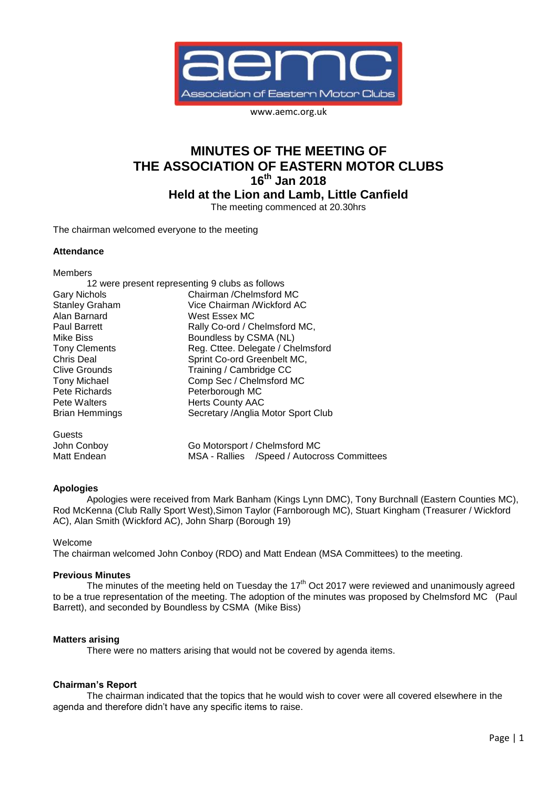

www.aemc.org.uk

# **MINUTES OF THE MEETING OF THE ASSOCIATION OF EASTERN MOTOR CLUBS 16th Jan 2018**

**Held at the Lion and Lamb, Little Canfield**

The meeting commenced at 20.30hrs

The chairman welcomed everyone to the meeting

### **Attendance**

Members

|                       | 12 were present representing 9 clubs as follows |
|-----------------------|-------------------------------------------------|
| <b>Gary Nichols</b>   | Chairman / Chelmsford MC                        |
| <b>Stanley Graham</b> | Vice Chairman /Wickford AC                      |
| Alan Barnard          | West Essex MC                                   |
| <b>Paul Barrett</b>   | Rally Co-ord / Chelmsford MC,                   |
| Mike Biss             | Boundless by CSMA (NL)                          |
| <b>Tony Clements</b>  | Reg. Cttee. Delegate / Chelmsford               |
| <b>Chris Deal</b>     | Sprint Co-ord Greenbelt MC,                     |
| <b>Clive Grounds</b>  | Training / Cambridge CC                         |
| <b>Tony Michael</b>   | Comp Sec / Chelmsford MC                        |
| Pete Richards         | Peterborough MC                                 |
| Pete Walters          | <b>Herts County AAC</b>                         |
| <b>Brian Hemmings</b> | Secretary / Anglia Motor Sport Club             |
| Guests                |                                                 |
| John Conboy           | Go Motorsport / Chelmsford MC                   |
| Matt Endean           | MSA - Rallies /Speed / Autocross Committees     |

## **Apologies**

Apologies were received from Mark Banham (Kings Lynn DMC), Tony Burchnall (Eastern Counties MC), Rod McKenna (Club Rally Sport West),Simon Taylor (Farnborough MC), Stuart Kingham (Treasurer / Wickford AC), Alan Smith (Wickford AC), John Sharp (Borough 19)

#### Welcome

The chairman welcomed John Conboy (RDO) and Matt Endean (MSA Committees) to the meeting.

#### **Previous Minutes**

The minutes of the meeting held on Tuesday the 17<sup>th</sup> Oct 2017 were reviewed and unanimously agreed to be a true representation of the meeting. The adoption of the minutes was proposed by Chelmsford MC (Paul Barrett), and seconded by Boundless by CSMA (Mike Biss)

#### **Matters arising**

There were no matters arising that would not be covered by agenda items.

## **Chairman's Report**

The chairman indicated that the topics that he would wish to cover were all covered elsewhere in the agenda and therefore didn't have any specific items to raise.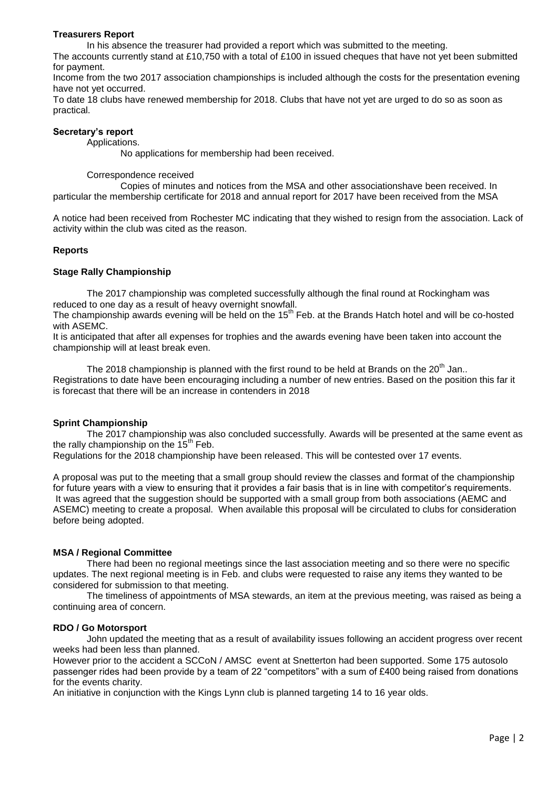#### **Treasurers Report**

In his absence the treasurer had provided a report which was submitted to the meeting.

The accounts currently stand at £10,750 with a total of £100 in issued cheques that have not yet been submitted for payment.

Income from the two 2017 association championships is included although the costs for the presentation evening have not yet occurred.

To date 18 clubs have renewed membership for 2018. Clubs that have not yet are urged to do so as soon as practical.

#### **Secretary's report**

Applications.

No applications for membership had been received.

#### Correspondence received

Copies of minutes and notices from the MSA and other associationshave been received. In particular the membership certificate for 2018 and annual report for 2017 have been received from the MSA

A notice had been received from Rochester MC indicating that they wished to resign from the association. Lack of activity within the club was cited as the reason.

#### **Reports**

#### **Stage Rally Championship**

The 2017 championship was completed successfully although the final round at Rockingham was reduced to one day as a result of heavy overnight snowfall.

The championship awards evening will be held on the 15<sup>th</sup> Feb. at the Brands Hatch hotel and will be co-hosted with ASEMC.

It is anticipated that after all expenses for trophies and the awards evening have been taken into account the championship will at least break even.

The 2018 championship is planned with the first round to be held at Brands on the 20<sup>th</sup> Jan.. Registrations to date have been encouraging including a number of new entries. Based on the position this far it is forecast that there will be an increase in contenders in 2018

## **Sprint Championship**

The 2017 championship was also concluded successfully. Awards will be presented at the same event as the rally championship on the  $15<sup>th</sup>$  Feb.

Regulations for the 2018 championship have been released. This will be contested over 17 events.

A proposal was put to the meeting that a small group should review the classes and format of the championship for future years with a view to ensuring that it provides a fair basis that is in line with competitor's requirements. It was agreed that the suggestion should be supported with a small group from both associations (AEMC and ASEMC) meeting to create a proposal. When available this proposal will be circulated to clubs for consideration before being adopted.

#### **MSA / Regional Committee**

There had been no regional meetings since the last association meeting and so there were no specific updates. The next regional meeting is in Feb. and clubs were requested to raise any items they wanted to be considered for submission to that meeting.

The timeliness of appointments of MSA stewards, an item at the previous meeting, was raised as being a continuing area of concern.

#### **RDO / Go Motorsport**

John updated the meeting that as a result of availability issues following an accident progress over recent weeks had been less than planned.

However prior to the accident a SCCoN / AMSC event at Snetterton had been supported. Some 175 autosolo passenger rides had been provide by a team of 22 "competitors" with a sum of £400 being raised from donations for the events charity.

An initiative in conjunction with the Kings Lynn club is planned targeting 14 to 16 year olds.